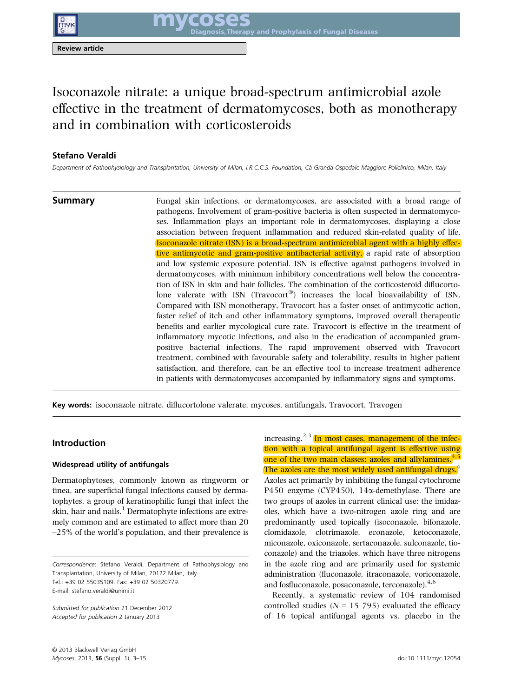Review article

# Isoconazole nitrate: a unique broad-spectrum antimicrobial azole effective in the treatment of dermatomycoses, both as monotherapy and in combination with corticosteroids

# Stefano Veraldi

Department of Pathophysiology and Transplantation, University of Milan, I.R.C.C.S. Foundation, Ca Granda Ospedale Maggiore Policlinico, Milan, Italy

**Summary** Fungal skin infections, or dermatomycoses, are associated with a broad range of pathogens. Involvement of gram-positive bacteria is often suspected in dermatomycoses. Inflammation plays an important role in dermatomycoses, displaying a close association between frequent inflammation and reduced skin-related quality of life. Isoconazole nitrate (ISN) is a broad-spectrum antimicrobial agent with a highly effective antimycotic and gram-positive antibacterial activity, a rapid rate of absorption and low systemic exposure potential. ISN is effective against pathogens involved in dermatomycoses, with minimum inhibitory concentrations well below the concentration of ISN in skin and hair follicles. The combination of the corticosteroid diflucortolone valerate with ISN (Travocort<sup>®</sup>) increases the local bioavailability of ISN. Compared with ISN monotherapy, Travocort has a faster onset of antimycotic action, faster relief of itch and other inflammatory symptoms, improved overall therapeutic benefits and earlier mycological cure rate. Travocort is effective in the treatment of inflammatory mycotic infections, and also in the eradication of accompanied grampositive bacterial infections. The rapid improvement observed with Travocort treatment, combined with favourable safety and tolerability, results in higher patient satisfaction, and therefore, can be an effective tool to increase treatment adherence in patients with dermatomycoses accompanied by inflammatory signs and symptoms.

Key words: isoconazole nitrate, diflucortolone valerate, mycoses, antifungals, Travocort, Travogen

# Introduction

### Widespread utility of antifungals

Dermatophytoses, commonly known as ringworm or tinea, are superficial fungal infections caused by dermatophytes, a group of keratinophilic fungi that infect the skin, hair and nails.<sup>1</sup> Dermatophyte infections are extremely common and are estimated to affect more than 20  $-25%$  of the world's population, and their prevalence is

Correspondence: Stefano Veraldi, Department of Pathophysiology and Transplantation, University of Milan, 20122 Milan, Italy. Tel.: +39 02 55035109. Fax: +39 02 50320779. E-mail: stefano.veraldi@unimi.it

Submitted for publication 21 December 2012 Accepted for publication 2 January 2013

increasing.<sup>2,3</sup> In most cases, management of the infection with a topical antifungal agent is effective using one of the two main classes: azoles and allylamines.<sup>4,5</sup> The azoles are the most widely used antifungal drugs.<sup>4</sup> Azoles act primarily by inhibiting the fungal cytochrome P450 enzyme (CYP450), 14 $\alpha$ -demethylase. There are two groups of azoles in current clinical use: the imidazoles, which have a two-nitrogen azole ring and are predominantly used topically (isoconazole, bifonazole, clomidazole, clotrimazole, econazole, ketoconazole, miconazole, oxiconazole, sertaconazole, sulconazole, tioconazole) and the triazoles, which have three nitrogens in the azole ring and are primarily used for systemic administration (fluconazole, itraconazole, voriconazole, and fosfluconazole, posaconazole, terconazole).<sup>4,6</sup>

Recently, a systematic review of 104 randomised controlled studies ( $N = 15795$ ) evaluated the efficacy of 16 topical antifungal agents vs. placebo in the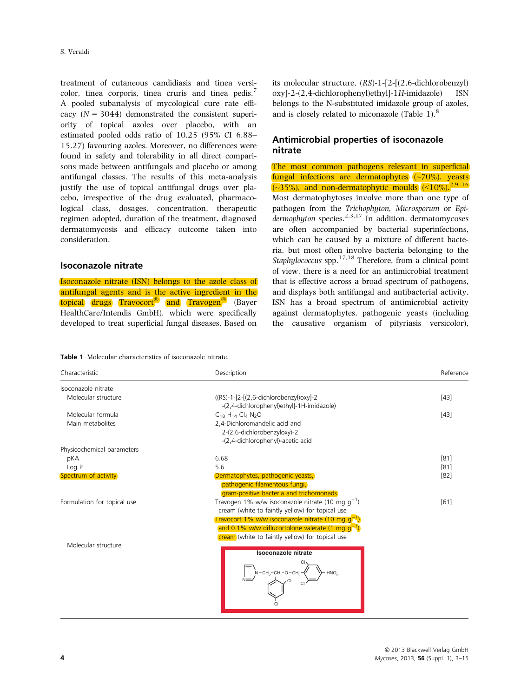treatment of cutaneous candidiasis and tinea versicolor, tinea corporis, tinea cruris and tinea pedis.<sup>7</sup> A pooled subanalysis of mycological cure rate efficacy  $(N = 3044)$  demonstrated the consistent superiority of topical azoles over placebo, with an estimated pooled odds ratio of 10.25 (95% CI 6.88– 15.27) favouring azoles. Moreover, no differences were found in safety and tolerability in all direct comparisons made between antifungals and placebo or among antifungal classes. The results of this meta-analysis justify the use of topical antifungal drugs over placebo, irrespective of the drug evaluated, pharmacological class, dosages, concentration, therapeutic regimen adopted, duration of the treatment, diagnosed dermatomycosis and efficacy outcome taken into consideration.

# Isoconazole nitrate

Isoconazole nitrate (ISN) belongs to the azole class of antifungal agents and is the active ingredient in the topical drugs Travocort<sup>®</sup> and Travogen<sup>®</sup> (Bayer HealthCare/Intendis GmbH), which were specifically developed to treat superficial fungal diseases. Based on

its molecular structure, (RS)-1-[2-[(2,6-dichlorobenzyl) oxy]-2-(2,4-dichlorophenyl)ethyl]-1H-imidazole) ISN belongs to the N-substituted imidazole group of azoles, and is closely related to miconazole (Table 1).<sup>8</sup>

# Antimicrobial properties of isoconazole nitrate

The most common pathogens relevant in superficial fungal infections are dermatophytes (~70%), yeasts  $\left(\sim\!\frac{35\%}{10\%}\right)$ , and non-dermatophytic moulds  $\left(\leq\!\frac{10\%}{2}\right)$ . 2,9–16 Most dermatophytoses involve more than one type of pathogen from the Trichophyton, Microsporum or Epi $d$ ermophyton species.<sup>2,3,17</sup> In addition, dermatomycoses are often accompanied by bacterial superinfections, which can be caused by a mixture of different bacteria, but most often involve bacteria belonging to the Staphylococcus spp.<sup>17,18</sup> Therefore, from a clinical point of view, there is a need for an antimicrobial treatment that is effective across a broad spectrum of pathogens, and displays both antifungal and antibacterial activity. ISN has a broad spectrum of antimicrobial activity against dermatophytes, pathogenic yeasts (including the causative organism of pityriasis versicolor),

|  |  | <b>Table 1</b> Molecular characteristics of isoconazole nitrate. |  |  |  |
|--|--|------------------------------------------------------------------|--|--|--|
|--|--|------------------------------------------------------------------|--|--|--|

| Characteristic              | Description                                                                                                                                                                                                                                                                           | Reference |
|-----------------------------|---------------------------------------------------------------------------------------------------------------------------------------------------------------------------------------------------------------------------------------------------------------------------------------|-----------|
| Isoconazole nitrate         |                                                                                                                                                                                                                                                                                       |           |
| Molecular structure         | $((RS)-1-[2-[2.6-dichlorobenzyl)oxyl-2]$<br>-(2,4-dichlorophenyl)ethyl]-1H-imidazole)                                                                                                                                                                                                 | $[43]$    |
| Molecular formula           | $C_{18}$ H <sub>14</sub> Cl <sub>4</sub> N <sub>2</sub> O                                                                                                                                                                                                                             | $[43]$    |
| Main metabolites            | 2,4-Dichloromandelic acid and<br>2-(2,6-dichlorobenzyloxy)-2<br>-(2,4-dichlorophenyl)-acetic acid                                                                                                                                                                                     |           |
| Physicochemical parameters  |                                                                                                                                                                                                                                                                                       |           |
| pKA                         | 6.68                                                                                                                                                                                                                                                                                  | [81]      |
| Log P                       | 5.6                                                                                                                                                                                                                                                                                   | $[81]$    |
| Spectrum of activity        | Dermatophytes, pathogenic yeasts,<br>pathogenic filamentous fungi,<br>gram-positive bacteria and trichomonads                                                                                                                                                                         | [82]      |
| Formulation for topical use | Travogen 1% w/w isoconazole nitrate (10 mg $q^{-1}$ )<br>cream (white to faintly yellow) for topical use<br>Travocort 1% w/w isoconazole nitrate (10 mg $q^{-1}$ )<br>and 0.1% w/w diflucortolone valerate $(1 \text{ mg g}^{-1})$<br>cream (white to faintly yellow) for topical use | [61]      |
| Molecular structure         | Isoconazole nitrate<br>$N - CH2-CH - O - CH2$<br>HNO.<br>$N =$                                                                                                                                                                                                                        |           |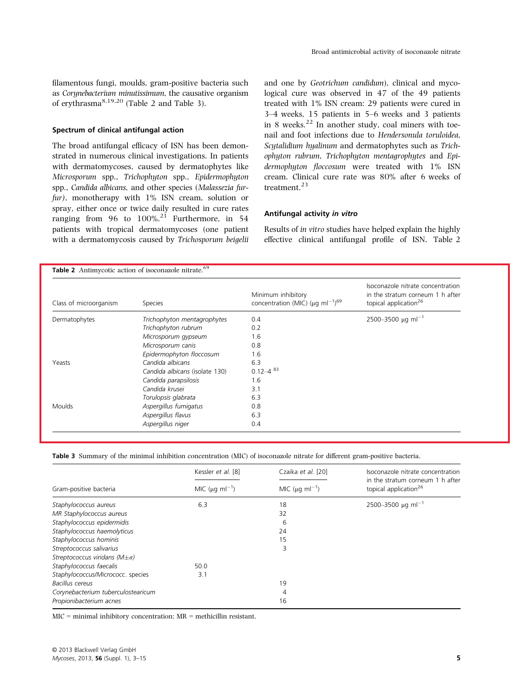filamentous fungi, moulds, gram-positive bacteria such as Corynebacterium minutissimum, the causative organism of erythrasma $8,19,20$  (Table 2 and Table 3).

### Spectrum of clinical antifungal action

The broad antifungal efficacy of ISN has been demonstrated in numerous clinical investigations. In patients with dermatomycoses, caused by dermatophytes like Microsporum spp., Trichophyton spp., Epidermophyton spp., Candida albicans, and other species (Malassezia furfur), monotherapy with 1% ISN cream, solution or spray, either once or twice daily resulted in cure rates ranging from 96 to  $100\%$ .<sup>21</sup> Furthermore, in 54 patients with tropical dermatomycoses (one patient with a dermatomycosis caused by Trichosporum beigelii and one by Geotrichum candidum), clinical and mycological cure was observed in 47 of the 49 patients treated with 1% ISN cream: 29 patients were cured in 3–4 weeks, 15 patients in 5–6 weeks and 3 patients in 8 weeks. $22$  In another study, coal miners with toenail and foot infections due to Hendersonula toruloidea, Scytalidium hyalinum and dermatophytes such as Trichophyton rubrum, Trichophyton mentagrophytes and Epidermophyton floccosum were treated with 1% ISN cream. Clinical cure rate was 80% after 6 weeks of treatment.<sup>23</sup>

### Antifungal activity in vitro

Results of in vitro studies have helped explain the highly effective clinical antifungal profile of ISN. Table 2

| Class of microorganism | <b>Species</b>                 | Minimum inhibitory<br>concentration (MIC) ( $\mu$ g ml <sup>-1</sup> ) <sup>69</sup> | Isoconazole nitrate concentration<br>in the stratum corneum 1 h after<br>topical application <sup>26</sup> |
|------------------------|--------------------------------|--------------------------------------------------------------------------------------|------------------------------------------------------------------------------------------------------------|
| Dermatophytes          | Trichophyton mentagrophytes    | 0.4                                                                                  | 2500-3500 $\mu$ g ml <sup>-1</sup>                                                                         |
|                        | Trichophyton rubrum            | 0.2                                                                                  |                                                                                                            |
|                        | Microsporum gypseum            | 1.6                                                                                  |                                                                                                            |
|                        | Microsporum canis              | 0.8                                                                                  |                                                                                                            |
|                        | Epidermophyton floccosum       | 1.6                                                                                  |                                                                                                            |
| Yeasts                 | Candida albicans               | 6.3                                                                                  |                                                                                                            |
|                        | Candida albicans (isolate 130) | $0.12 - 4^{83}$                                                                      |                                                                                                            |
|                        | Candida parapsilosis           | 1.6                                                                                  |                                                                                                            |
|                        | Candida krusei                 | 3.1                                                                                  |                                                                                                            |
|                        | Torulopsis glabrata            | 6.3                                                                                  |                                                                                                            |
| <b>Moulds</b>          | Aspergillus fumigatus          | 0.8                                                                                  |                                                                                                            |
|                        | Aspergillus flavus             | 6.3                                                                                  |                                                                                                            |
|                        | Aspergillus niger              | 0.4                                                                                  |                                                                                                            |

Table 3 Summary of the minimal inhibition concentration (MIC) of isoconazole nitrate for different gram-positive bacteria.

|                                           | Kessler et al. [8]               | Czaika et al. [20]               | Isoconazole nitrate concentration<br>in the stratum corneum 1 h after<br>topical application <sup>26</sup> |  |
|-------------------------------------------|----------------------------------|----------------------------------|------------------------------------------------------------------------------------------------------------|--|
| Gram-positive bacteria                    | MIC ( $\mu$ g ml <sup>-1</sup> ) | MIC ( $\mu$ g ml <sup>-1</sup> ) |                                                                                                            |  |
| Staphylococcus aureus                     | 6.3                              | 18                               | 2500-3500 µg ml <sup>-1</sup>                                                                              |  |
| MR Staphylococcus aureus                  |                                  | 32                               |                                                                                                            |  |
| Staphylococcus epidermidis                |                                  | 6                                |                                                                                                            |  |
| Staphylococcus haemolyticus               |                                  | 24                               |                                                                                                            |  |
| Staphylococcus hominis                    |                                  | 15                               |                                                                                                            |  |
| Streptococcus salivarius                  |                                  | 3                                |                                                                                                            |  |
| Streptococcus viridans ( $M \pm \sigma$ ) |                                  |                                  |                                                                                                            |  |
| Staphylococcus faecalis                   | 50.0                             |                                  |                                                                                                            |  |
| Staphylococcus/Micrococc. species         | 3.1                              |                                  |                                                                                                            |  |
| Bacillus cereus                           |                                  | 19                               |                                                                                                            |  |
| Corynebacterium tuberculostearicum        |                                  | 4                                |                                                                                                            |  |
| Propionibacterium acnes                   |                                  | 16                               |                                                                                                            |  |

MIC = minimal inhibitory concentration; MR = methicillin resistant.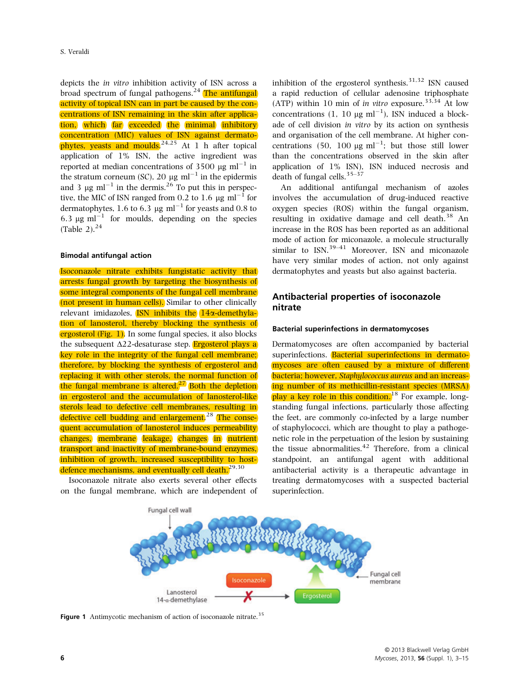depicts the in vitro inhibition activity of ISN across a broad spectrum of fungal pathogens. $^{24}$  The antifungal activity of topical ISN can in part be caused by the concentrations of ISN remaining in the skin after application, which far exceeded the minimal inhibitory concentration (MIC) values of ISN against dermatophytes, yeasts and moulds.<sup>24,25</sup> At 1 h after topical application of 1% ISN, the active ingredient was reported at median concentrations of 3500  $\mu$ g ml<sup>-1</sup> in the stratum corneum (SC), 20  $\mu$ g ml<sup>-1</sup> in the epidermis and 3  $\mu$ g ml<sup>-1</sup> in the dermis.<sup>26</sup> To put this in perspective, the MIC of ISN ranged from 0.2 to 1.6  $\mu$ g ml<sup>-1</sup> for dermatophytes, 1.6 to 6.3  $\mu$ g ml<sup>-1</sup> for yeasts and 0.8 to 6.3  $\mu$ g ml<sup>-1</sup> for moulds, depending on the species (Table 2). $^{24}$ 

### Bimodal antifungal action

Isoconazole nitrate exhibits fungistatic activity that arrests fungal growth by targeting the biosynthesis of some integral components of the fungal cell membrane (not present in human cells). Similar to other clinically relevant imidazoles,  $\overline{ISN}$  inhibits the  $14\alpha$ -demethylation of lanosterol, thereby blocking the synthesis of ergosterol (Fig. 1). In some fungal species, it also blocks the subsequent  $\Delta$ 22-desaturase step. **Ergosterol plays a** key role in the integrity of the fungal cell membrane; therefore, by blocking the synthesis of ergosterol and replacing it with other sterols, the normal function of the fungal membrane is altered. $^{27}$  Both the depletion in ergosterol and the accumulation of lanosterol-like sterols lead to defective cell membranes, resulting in defective cell budding and enlargement.<sup>28</sup> The consequent accumulation of lanosterol induces permeability changes, membrane leakage, changes in nutrient transport and inactivity of membrane-bound enzymes, inhibition of growth, increased susceptibility to hostdefence mechanisms, and eventually cell death.<sup>29,30</sup>

Isoconazole nitrate also exerts several other effects on the fungal membrane, which are independent of inhibition of the ergosterol synthesis. $31,32$  ISN caused a rapid reduction of cellular adenosine triphosphate (ATP) within 10 min of in vitro exposure.<sup>33,34</sup> At low concentrations (1, 10  $\mu$ g ml<sup>-1</sup>), ISN induced a blockade of cell division in vitro by its action on synthesis and organisation of the cell membrane. At higher concentrations (50, 100  $\mu$ g ml<sup>-1</sup>; but those still lower than the concentrations observed in the skin after application of 1% ISN), ISN induced necrosis and death of fungal cells.  $35-37$ 

An additional antifungal mechanism of azoles involves the accumulation of drug-induced reactive oxygen species (ROS) within the fungal organism, resulting in oxidative damage and cell death.<sup>38</sup> An increase in the ROS has been reported as an additional mode of action for miconazole, a molecule structurally similar to ISN.<sup>39-41</sup> Moreover, ISN and miconazole have very similar modes of action, not only against dermatophytes and yeasts but also against bacteria.

# Antibacterial properties of isoconazole nitrate

### Bacterial superinfections in dermatomycoses

Dermatomycoses are often accompanied by bacterial superinfections. Bacterial superinfections in dermatomycoses are often caused by a mixture of different bacteria; however, *Staphylococcus aureus* and an increasing number of its methicillin-resistant species (MRSA) play a key role in this condition.<sup>18</sup> For example, longstanding fungal infections, particularly those affecting the feet, are commonly co-infected by a large number of staphylococci, which are thought to play a pathogenetic role in the perpetuation of the lesion by sustaining the tissue abnormalities. $42$  Therefore, from a clinical standpoint, an antifungal agent with additional antibacterial activity is a therapeutic advantage in treating dermatomycoses with a suspected bacterial superinfection.



Figure 1 Antimycotic mechanism of action of isoconazole nitrate.<sup>35</sup>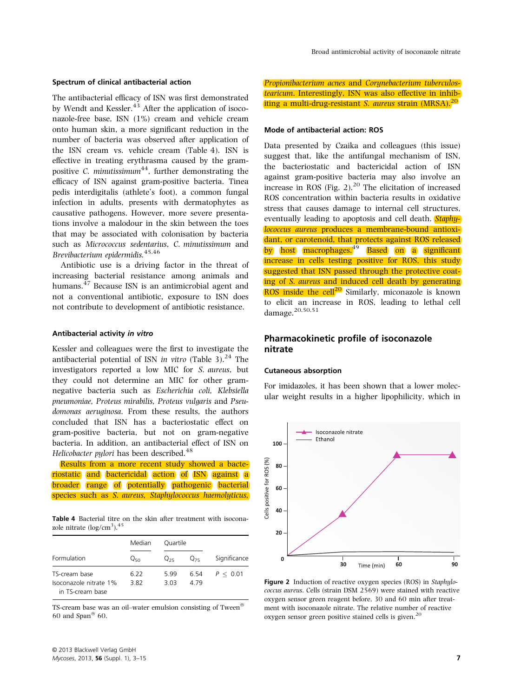#### Spectrum of clinical antibacterial action

The antibacterial efficacy of ISN was first demonstrated by Wendt and Kessler. $43$  After the application of isoconazole-free base, ISN (1%) cream and vehicle cream onto human skin, a more significant reduction in the number of bacteria was observed after application of the ISN cream vs. vehicle cream (Table 4). ISN is effective in treating erythrasma caused by the grampositive C. minutissimum<sup>44</sup>, further demonstrating the efficacy of ISN against gram-positive bacteria. Tinea pedis interdigitalis (athlete's foot), a common fungal infection in adults, presents with dermatophytes as causative pathogens. However, more severe presentations involve a malodour in the skin between the toes that may be associated with colonisation by bacteria such as Micrococcus sedentarius, C. minutissimum and Brevibacterium epidermidis.45,46

Antibiotic use is a driving factor in the threat of increasing bacterial resistance among animals and humans.<sup>47</sup> Because ISN is an antimicrobial agent and not a conventional antibiotic, exposure to ISN does not contribute to development of antibiotic resistance.

#### Antibacterial activity in vitro

Kessler and colleagues were the first to investigate the antibacterial potential of ISN in vitro (Table 3). $^{24}$  The investigators reported a low MIC for S. aureus, but they could not determine an MIC for other gramnegative bacteria such as Escherichia coli, Klebsiella pneumoniae, Proteus mirabilis, Proteus vulgaris and Pseudomonas aeruginosa. From these results, the authors concluded that ISN has a bacteriostatic effect on gram-positive bacteria, but not on gram-negative bacteria. In addition, an antibacterial effect of ISN on Helicobacter pylori has been described.<sup>48</sup>

Results from a more recent study showed a bacteriostatic and bactericidal action of ISN against a broader range of potentially pathogenic bacterial species such as *S. aureus, Staphylococcus haemolyticus*,

Table 4 Bacterial titre on the skin after treatment with isoconazole nitrate  $(log/cm<sup>3</sup>)$ .<sup>45</sup>

|                                            |                 | Ouartile |          |              |
|--------------------------------------------|-----------------|----------|----------|--------------|
|                                            | Median          |          |          |              |
|                                            |                 |          |          |              |
| Formulation                                | Q <sub>50</sub> | $Q_{25}$ | $Q_{75}$ | Significance |
| TS-cream base                              | 6.22            | 5.99     | 6.54     | P < 0.01     |
| Isoconazole nitrate 1%<br>in TS-cream base | 3.82            | 3.03     | 4.79     |              |

TS-cream base was an oil–water emulsion consisting of Tween 60 and Span $^{\circledR}$  60.

Propionibacterium acnes and Corynebacterium tuberculostearicum. Interestingly, ISN was also effective in inhibiting a multi-drug-resistant *S. aureus* strain  $(MRSA)$ <sup>20</sup>

### Mode of antibacterial action: ROS

Data presented by Czaika and colleagues (this issue) suggest that, like the antifungal mechanism of ISN, the bacteriostatic and bactericidal action of ISN against gram-positive bacteria may also involve an increase in ROS (Fig. 2). $^{20}$  The elicitation of increased ROS concentration within bacteria results in oxidative stress that causes damage to internal cell structures, eventually leading to apoptosis and cell death. **Staphy**lococcus aureus produces a membrane-bound antioxidant, or carotenoid, that protects against ROS released by host macrophages.<sup>49</sup> Based on a significant increase in cells testing positive for ROS, this study suggested that ISN passed through the protective coating of S. aureus and induced cell death by generating ROS inside the cell $^{20}$  Similarly, miconazole is known to elicit an increase in ROS, leading to lethal cell damage.20,50,51

# Pharmacokinetic profile of isoconazole nitrate

#### Cutaneous absorption

For imidazoles, it has been shown that a lower molecular weight results in a higher lipophilicity, which in



Figure 2 Induction of reactive oxygen species (ROS) in Staphylococcus aureus. Cells (strain DSM 2569) were stained with reactive oxygen sensor green reagent before, 30 and 60 min after treatment with isoconazole nitrate. The relative number of reactive oxygen sensor green positive stained cells is given.<sup>20</sup>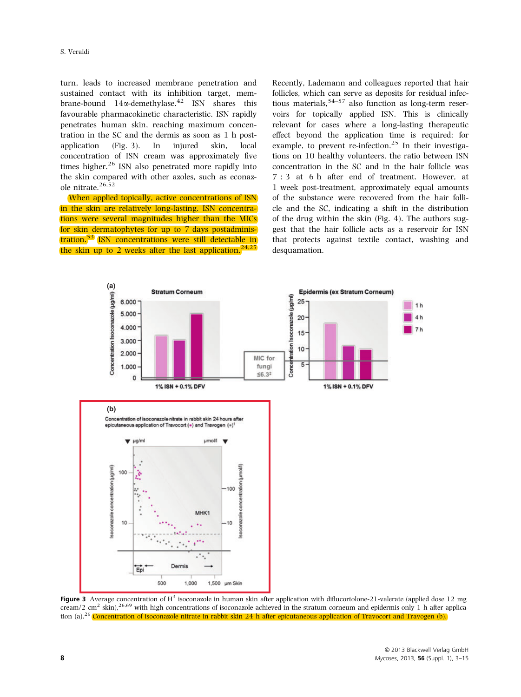turn, leads to increased membrane penetration and sustained contact with its inhibition target, membrane-bound  $14\alpha$ -demethylase.<sup>42</sup> ISN shares this favourable pharmacokinetic characteristic. ISN rapidly penetrates human skin, reaching maximum concentration in the SC and the dermis as soon as 1 h postapplication (Fig. 3). In injured skin, local concentration of ISN cream was approximately five times higher. $^{26}$  ISN also penetrated more rapidly into the skin compared with other azoles, such as econazole nitrate.<sup>26,52</sup>

When applied topically, active concentrations of ISN in the skin are relatively long-lasting. ISN concentrations were several magnitudes higher than the MICs for skin dermatophytes for up to 7 days postadministration.<sup>53</sup> ISN concentrations were still detectable in the skin up to 2 weeks after the last application.<sup>24,25</sup>

Recently, Lademann and colleagues reported that hair follicles, which can serve as deposits for residual infectious materials,  $54-57$  also function as long-term reservoirs for topically applied ISN. This is clinically relevant for cases where a long-lasting therapeutic effect beyond the application time is required; for example, to prevent re-infection.<sup>25</sup> In their investigations on 10 healthy volunteers, the ratio between ISN concentration in the SC and in the hair follicle was 7 : 3 at 6 h after end of treatment. However, at 1 week post-treatment, approximately equal amounts of the substance were recovered from the hair follicle and the SC, indicating a shift in the distribution of the drug within the skin (Fig. 4). The authors suggest that the hair follicle acts as a reservoir for ISN that protects against textile contact, washing and desquamation.



**Figure 3** Average concentration of  $H<sup>3</sup>$  isoconazole in human skin after application with diflucortolone-21-valerate (applied dose 12 mg cream/2 cm<sup>2</sup> skin),<sup>26,69</sup> with high concentrations of isoconazole achieved in the stratum corneum and epidermis only 1 h after application (a).<sup>26</sup> Concentration of isoconazole nitrate in rabbit skin 24 h after epicutaneous application of Travocort and Travogen (b).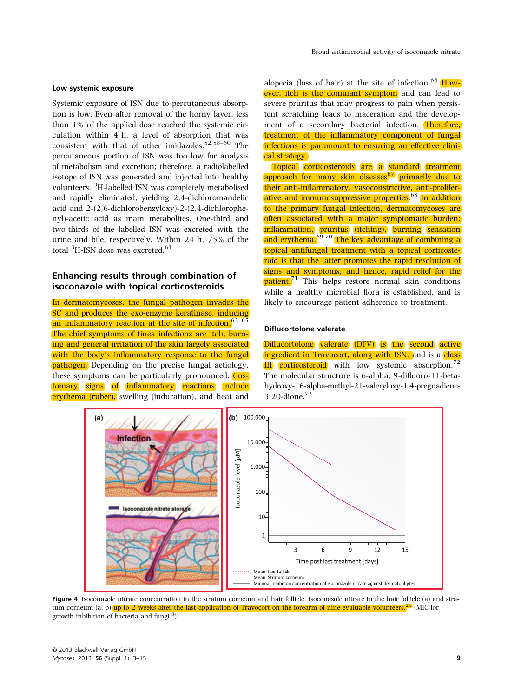### Low systemic exposure

Systemic exposure of ISN due to percutaneous absorption is low. Even after removal of the horny layer, less than 1% of the applied dose reached the systemic circulation within 4 h, a level of absorption that was consistent with that of other imidazoles.<sup>52,58–60</sup> The percutaneous portion of ISN was too low for analysis of metabolism and excretion; therefore, a radiolabelled isotope of ISN was generated and injected into healthy volunteers. <sup>3</sup>H-labelled ISN was completely metabolised and rapidly eliminated, yielding 2,4-dichloromandelic acid and 2-(2,6-dichlorobenzyloxy)-2-(2,4-dichlorophenyl)-acetic acid as main metabolites. One-third and two-thirds of the labelled ISN was excreted with the urine and bile, respectively. Within 24 h, 75% of the total  ${}^{3}$ H-ISN dose was excreted.<sup>61</sup>

# Enhancing results through combination of isoconazole with topical corticosteroids

In dermatomycoses, the fungal pathogen invades the SC and produces the exo-enzyme keratinase, inducing an inflammatory reaction at the site of infection.<sup>62–65</sup> The chief symptoms of tinea infections are itch, burning and general irritation of the skin largely associated with the body's inflammatory response to the fungal pathogen. Depending on the precise fungal aetiology, these symptoms can be particularly pronounced. Customary signs of inflammatory reactions include erythema (ruber), swelling (induration), and heat and

alopecia (loss of hair) at the site of infection.  $66$  However, itch is the dominant symptom and can lead to severe pruritus that may progress to pain when persistent scratching leads to maceration and the development of a secondary bacterial infection. Therefore, treatment of the inflammatory component of fungal infections is paramount to ensuring an effective clinical strategy.

Topical corticosteroids are a standard treatment approach for many skin diseases<sup>67</sup> primarily due to their anti-inflammatory, vasoconstrictive, anti-proliferative and immunosuppressive properties.<sup>68</sup> In addition to the primary fungal infection, dermatomycoses are often associated with a major symptomatic burden: inflammation, pruritus (itching), burning sensation and erythema. $69,70$  The key advantage of combining a topical antifungal treatment with a topical corticosteroid is that the latter promotes the rapid resolution of signs and symptoms, and hence, rapid relief for the  $\text{patient.}^{71}$  This helps restore normal skin conditions while a healthy microbial flora is established, and is likely to encourage patient adherence to treatment.

### Diflucortolone valerate

Diflucortolone valerate (DFV) is the second active ingredient in Travocort, along with ISN, and is a class  $III$  corticosteroid with low systemic absorption.<sup>72</sup> The molecular structure is 6-alpha, 9-difluoro-11-betahydroxy-16-alpha-methyl-21-valeryloxy-1,4-pregnadiene-3,20-dione.<sup>72</sup>



Figure 4 Isoconazole nitrate concentration in the stratum corneum and hair follicle. Isoconazole nitrate in the hair follicle (a) and stratum corneum (a, b) up to 2 weeks after the last application of Travocort on the forearm of nine evaluable volunteers.<sup>25</sup> (MIC for growth inhibition of bacteria and fungi.<sup>8</sup>)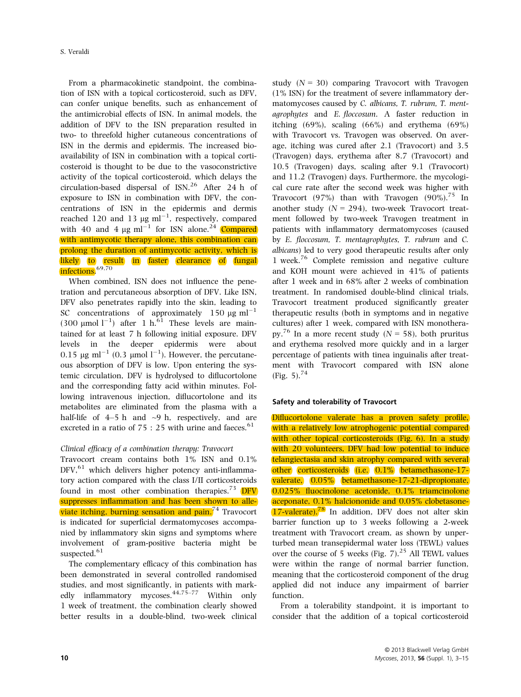From a pharmacokinetic standpoint, the combination of ISN with a topical corticosteroid, such as DFV, can confer unique benefits, such as enhancement of the antimicrobial effects of ISN. In animal models, the addition of DFV to the ISN preparation resulted in two- to threefold higher cutaneous concentrations of ISN in the dermis and epidermis. The increased bioavailability of ISN in combination with a topical corticosteroid is thought to be due to the vasoconstrictive activity of the topical corticosteroid, which delays the circulation-based dispersal of  $\text{ISN.}^{26}$  After 24 h of exposure to ISN in combination with DFV, the concentrations of ISN in the epidermis and dermis reached 120 and 13  $\mu$ g ml<sup>-1</sup>, respectively, compared with 40 and 4  $\mu$ g ml<sup>-1</sup> for ISN alone.<sup>24</sup> Compared with antimycotic therapy alone, this combination can prolong the duration of antimycotic activity, which is likely to result in faster clearance of fungal infections.<sup>69,70</sup>

When combined, ISN does not influence the penetration and percutaneous absorption of DFV. Like ISN, DFV also penetrates rapidly into the skin, leading to SC concentrations of approximately 150  $\mu$ g ml<sup>-1</sup> (300  $\mu$ mol l<sup>-1</sup>) after 1 h.<sup>61</sup> These levels are maintained for at least 7 h following initial exposure. DFV levels in the deeper epidermis were about  $0.15 \,\mathrm{\mu g\,\,ml}^{-1}$   $(0.3 \,\mathrm{\mu mol\,\, l}^{-1})$ . However, the percutaneous absorption of DFV is low. Upon entering the systemic circulation, DFV is hydrolysed to diflucortolone and the corresponding fatty acid within minutes. Following intravenous injection, diflucortolone and its metabolites are eliminated from the plasma with a half-life of  $4-5$  h and  $\sim$ 9 h, respectively, and are excreted in a ratio of  $75:25$  with urine and faeces.<sup>61</sup>

# Clinical efficacy of a combination therapy: Travocort

Travocort cream contains both 1% ISN and 0.1%  $DFV<sub>1</sub><sup>61</sup>$  which delivers higher potency anti-inflammatory action compared with the class I/II corticosteroids found in most other combination therapies.<sup>73</sup> DFV suppresses inflammation and has been shown to alleviate itching, burning sensation and pain.<sup>74</sup> Travocort is indicated for superficial dermatomycoses accompanied by inflammatory skin signs and symptoms where involvement of gram-positive bacteria might be suspected.<sup>61</sup>

The complementary efficacy of this combination has been demonstrated in several controlled randomised studies, and most significantly, in patients with markedly inflammatory mycoses.  $44.75-77$  Within only 1 week of treatment, the combination clearly showed better results in a double-blind, two-week clinical study  $(N = 30)$  comparing Travocort with Travogen (1% ISN) for the treatment of severe inflammatory dermatomycoses caused by C. albicans, T. rubrum, T. mentagrophytes and E. floccosum. A faster reduction in itching  $(69\%)$ , scaling  $(66\%)$  and erythema  $(69\%)$ with Travocort vs. Travogen was observed. On average, itching was cured after 2.1 (Travocort) and 3.5 (Travogen) days, erythema after 8.7 (Travocort) and 10.5 (Travogen) days, scaling after 9.1 (Travocort) and 11.2 (Travogen) days. Furthermore, the mycological cure rate after the second week was higher with Travocort (97%) than with Travogen (90%).<sup>75</sup> In another study  $(N = 294)$ , two-week Travocort treatment followed by two-week Travogen treatment in patients with inflammatory dermatomycoses (caused by E. floccosum, T. mentagrophytes, T. rubrum and C. albicans) led to very good therapeutic results after only 1 week.<sup>76</sup> Complete remission and negative culture and KOH mount were achieved in 41% of patients after 1 week and in 68% after 2 weeks of combination treatment. In randomised double-blind clinical trials, Travocort treatment produced significantly greater therapeutic results (both in symptoms and in negative cultures) after 1 week, compared with ISN monotherapy.<sup>76</sup> In a more recent study ( $N = 58$ ), both pruritus and erythema resolved more quickly and in a larger percentage of patients with tinea inguinalis after treatment with Travocort compared with ISN alone (Fig. 5).  $^{74}$ 

### Safety and tolerability of Travocort

Diflucortolone valerate has a proven safety profile, with a relatively low atrophogenic potential compared with other topical corticosteroids (Fig. 6). In a study with 20 volunteers, DFV had low potential to induce telangiectasia and skin atrophy compared with several other corticosteroids (i.e. 0.1% betamethasone-17 valerate, 0.05% betamethasone-17-21-dipropionate, 0.025% fluocinolone acetonide, 0.1% triamcinolone aceponate, 0.1% halciononide and 0.05% clobetasone- $17$ -valerate).<sup>78</sup> In addition, DFV does not alter skin barrier function up to 3 weeks following a 2-week treatment with Travocort cream, as shown by unperturbed mean transepidermal water loss (TEWL) values over the course of 5 weeks (Fig. 7). $^{25}$  All TEWL values were within the range of normal barrier function, meaning that the corticosteroid component of the drug applied did not induce any impairment of barrier function.

From a tolerability standpoint, it is important to consider that the addition of a topical corticosteroid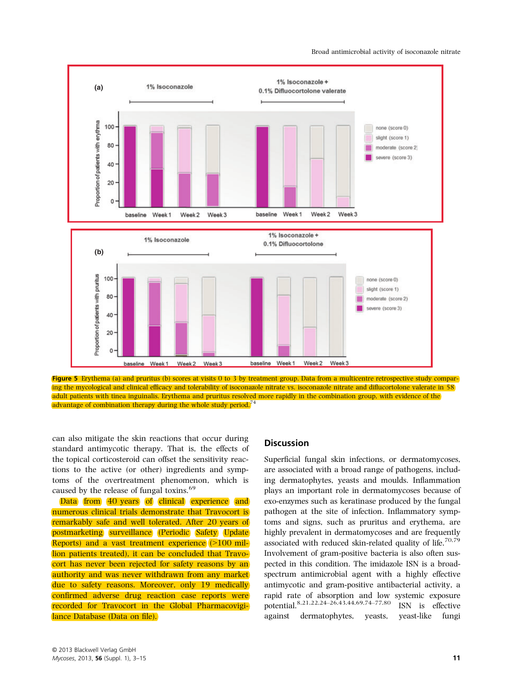Broad antimicrobial activity of isoconazole nitrate



Figure 5 Erythema (a) and pruritus (b) scores at visits 0 to 3 by treatment group. Data from a multicentre retrospective study comparing the mycological and clinical efficacy and tolerability of isoconazole nitrate vs. isoconazole nitrate and diflucortolone valerate in 58 adult patients with tinea inguinalis. Erythema and pruritus resolved more rapidly in the combination group, with evidence of the advantage of combination therapy during the whole study period.<sup>7</sup>

can also mitigate the skin reactions that occur during standard antimycotic therapy. That is, the effects of the topical corticosteroid can offset the sensitivity reactions to the active (or other) ingredients and symptoms of the overtreatment phenomenon, which is caused by the release of fungal toxins.<sup>69</sup>

Data from 40 years of clinical experience and numerous clinical trials demonstrate that Travocort is remarkably safe and well tolerated. After 20 years of postmarketing surveillance (Periodic Safety Update Reports) and a vast treatment experience (>100 million patients treated), it can be concluded that Travocort has never been rejected for safety reasons by an authority and was never withdrawn from any market due to safety reasons. Moreover, only 19 medically confirmed adverse drug reaction case reports were recorded for Travocort in the Global Pharmacovigilance Database (Data on file).

# **Discussion**

Superficial fungal skin infections, or dermatomycoses, are associated with a broad range of pathogens, including dermatophytes, yeasts and moulds. Inflammation plays an important role in dermatomycoses because of exo-enzymes such as keratinase produced by the fungal pathogen at the site of infection. Inflammatory symptoms and signs, such as pruritus and erythema, are highly prevalent in dermatomycoses and are frequently associated with reduced skin-related quality of life.<sup>70,79</sup> Involvement of gram-positive bacteria is also often suspected in this condition. The imidazole ISN is a broadspectrum antimicrobial agent with a highly effective antimycotic and gram-positive antibacterial activity, a rapid rate of absorption and low systemic exposure potential.8,21,22,24–26,43,44,69,74–77,80 ISN is effective against dermatophytes, yeasts, yeast-like fungi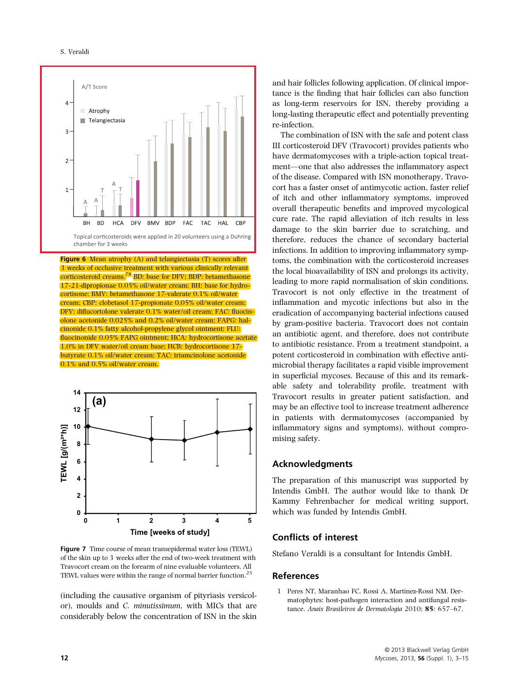#### S. Veraldi



**Figure 6** Mean atrophy (A) and telangiectasia (T) scores after 3 weeks of occlusive treatment with various clinically relevant corticosteroid creams.78 BD: base for DFV; BDP: betamethasone 17-21-dipropionae 0.05% oil/water cream; BH: base for hydrocortisone; BMV: betamethasone 17-valerate 0.1% oil/water cream; CBP: clobetasol 17-propionate 0.05% oil/water cream; DFV: diflucortolone valerate 0.1% water/oil cream; FAC: fluocinolone acetonide 0.025% and 0.2% oil/water cream; FAPG: halcinonide 0.1% fatty alcohol-propylene glycol ointment; FLU: fluocinonide 0.05% FAPG ointment; HCA: hydrocortisone acetate 1.0% in DFV water/oil cream base; HCB: hydrocortisone 17 butyrate 0.1% oil/water cream; TAC: triamcinolone acetonide 0.1% and 0.5% oil/water cream.



Figure 7 Time course of mean transepidermal water loss (TEWL) of the skin up to 3 weeks after the end of two-week treatment with Travocort cream on the forearm of nine evaluable volunteers. All TEWL values were within the range of normal barrier function.<sup>25</sup>

(including the causative organism of pityriasis versicolor), moulds and C. minutissimum, with MICs that are considerably below the concentration of ISN in the skin and hair follicles following application. Of clinical importance is the finding that hair follicles can also function as long-term reservoirs for ISN, thereby providing a long-lasting therapeutic effect and potentially preventing re-infection.

The combination of ISN with the safe and potent class III corticosteroid DFV (Travocort) provides patients who have dermatomycoses with a triple-action topical treatment—one that also addresses the inflammatory aspect of the disease. Compared with ISN monotherapy, Travocort has a faster onset of antimycotic action, faster relief of itch and other inflammatory symptoms, improved overall therapeutic benefits and improved mycological cure rate. The rapid alleviation of itch results in less damage to the skin barrier due to scratching, and therefore, reduces the chance of secondary bacterial infections. In addition to improving inflammatory symptoms, the combination with the corticosteroid increases the local bioavailability of ISN and prolongs its activity, leading to more rapid normalisation of skin conditions. Travocort is not only effective in the treatment of inflammation and mycotic infections but also in the eradication of accompanying bacterial infections caused by gram-positive bacteria. Travocort does not contain an antibiotic agent, and therefore, does not contribute to antibiotic resistance. From a treatment standpoint, a potent corticosteroid in combination with effective antimicrobial therapy facilitates a rapid visible improvement in superficial mycoses. Because of this and its remarkable safety and tolerability profile, treatment with Travocort results in greater patient satisfaction, and may be an effective tool to increase treatment adherence in patients with dermatomycoses (accompanied by inflammatory signs and symptoms), without compromising safety.

### Acknowledgments

The preparation of this manuscript was supported by Intendis GmbH. The author would like to thank Dr Kammy Fehrenbacher for medical writing support, which was funded by Intendis GmbH.

# Conflicts of interest

Stefano Veraldi is a consultant for Intendis GmbH.

# References

1 Peres NT, Maranhao FC, Rossi A, Martinez-Rossi NM. Dermatophytes: host-pathogen interaction and antifungal resistance. Anais Brasileiros de Dermatologia 2010; 85: 657–67.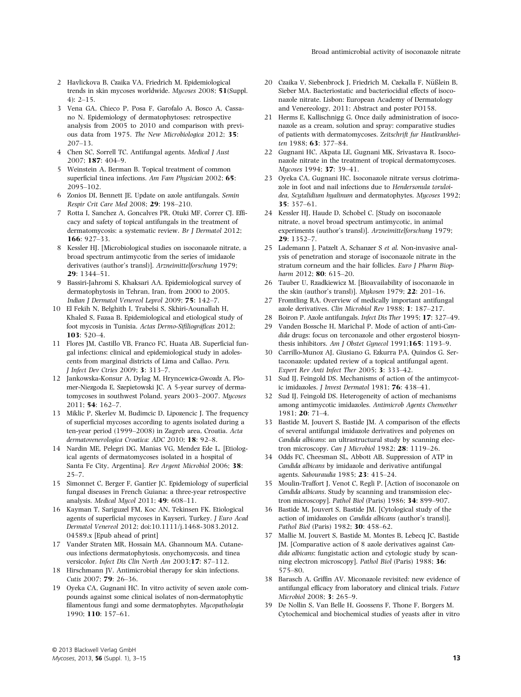- 2 Havlickova B, Czaika VA, Friedrich M. Epidemiological trends in skin mycoses worldwide. Mycoses 2008; 51(Suppl.  $4$ ):  $2-15$ .
- 3 Vena GA, Chieco P, Posa F, Garofalo A, Bosco A, Cassano N. Epidemiology of dermatophytoses: retrospective analysis from 2005 to 2010 and comparison with previous data from 1975. The New Microbiologica 2012; 35: 207–13.
- 4 Chen SC, Sorrell TC, Antifungal agents. Medical J Aust 2007; 187: 404–9.
- 5 Weinstein A, Berman B. Topical treatment of common superficial tinea infections. Am Fam Physician 2002; 65: 2095–102.
- 6 Zonios DI, Bennett JE. Update on azole antifungals. Semin Respir Crit Care Med 2008; 29: 198–210.
- 7 Rotta I, Sanchez A, Goncalves PR, Otuki MF, Correr CJ. Efficacy and safety of topical antifungals in the treatment of dermatomycosis: a systematic review. Br J Dermatol 2012; 166: 927–33.
- 8 Kessler HJ. [Microbiological studies on isoconazole nitrate, a broad spectrum antimycotic from the series of imidazole derivatives (author's transl)]. Arzneimittelforschung 1979; 29: 1344–51.
- 9 Bassiri-Jahromi S, Khaksari AA. Epidemiological survey of dermatophytosis in Tehran, Iran, from 2000 to 2005. Indian J Dermatol Venereol Leprol 2009; 75: 142–7.
- 10 El Fekih N, Belghith I, Trabelsi S, Skhiri-Aounallah H, Khaled S, Fazaa B. Epidemiological and etiological study of foot mycosis in Tunisia. Actas Dermo-Sifiliográficas 2012; 103: 520–4.
- 11 Flores JM, Castillo VB, Franco FC, Huata AB. Superficial fungal infections: clinical and epidemiological study in adolescents from marginal districts of Lima and Callao. Peru. J Infect Dev Ctries 2009; 3: 313–7.
- 12 Jankowska-Konsur A, Dylag M, Hryncewicz-Gwozdz A, Plomer-Niezgoda E, Szepietowski JC. A 5-year survey of dermatomycoses in southwest Poland, years 2003–2007. Mycoses 2011; 54: 162–7.
- 13 Miklic P, Skerlev M, Budimcic D, Lipozencic J. The frequency of superficial mycoses according to agents isolated during a ten-year period (1999–2008) in Zagreb area, Croatia. Acta dermatovenerologica Croatica: ADC 2010; 18: 92–8.
- 14 Nardin ME, Pelegri DG, Manias VG, Mendez Ede L. [Etiological agents of dermatomycoses isolated in a hospital of Santa Fe City, Argentina]. Rev Argent Microbiol 2006; 38: 25–7.
- 15 Simonnet C, Berger F, Gantier JC. Epidemiology of superficial fungal diseases in French Guiana: a three-year retrospective analysis. Medical Mycol 2011; 49: 608–11.
- 16 Kayman T, Sariguzel FM, Koc AN, Tekinsen FK. Etiological agents of superficial mycoses in Kayseri, Turkey. J Euro Acad Dermatol Venereol 2012; doi:10.1111/j.1468-3083.2012. 04589.x [Epub ahead of print]
- 17 Vander Straten MR, Hossain MA, Ghannoum MA. Cutaneous infections dermatophytosis, onychomycosis, and tinea versicolor. Infect Dis Clin North Am 2003;17: 87–112.
- 18 Hirschmann JV. Antimicrobial therapy for skin infections. Cutis 2007; **79**: 26-36.
- 19 Oyeka CA, Gugnani HC. In vitro activity of seven azole compounds against some clinical isolates of non-dermatophytic filamentous fungi and some dermatophytes. Mycopathologia 1990; 110: 157–61.
- 20 Czaika V, Siebenbrock J, Friedrich M, Czekalla F, Nüßlein B, Sieber MA. Bacteriostatic and bacteriocidial effects of isoconazole nitrate. Lisbon: European Academy of Dermatology and Venereology, 2011: Abstract and poster PO158.
- 21 Herms E, Kallischnigg G. Once daily administration of isoconazole as a cream, solution and spray: comparative studies of patients with dermatomycoses. Zeitschrift fur Hautkrankheiten 1988; 63: 377–84.
- 22 Gugnani HC, Akpata LE, Gugnani MK, Srivastava R. Isoconazole nitrate in the treatment of tropical dermatomycoses. Mycoses 1994; 37: 39–41.
- 23 Oyeka CA, Gugnani HC. Isoconazole nitrate versus clotrimazole in foot and nail infections due to Hendersonula toruloidea, Scytalidium hyalinum and dermatophytes. Mycoses 1992; 35: 357–61.
- 24 Kessler HJ, Haude D, Schobel C. [Study on isoconazole nitrate, a novel broad spectrum antimycotic, in animal experiments (author's transl)]. Arzneimittelforschung 1979; 29: 1352–7.
- 25 Lademann J, Patzelt A, Schanzer S et al. Non-invasive analysis of penetration and storage of isoconazole nitrate in the stratum corneum and the hair follicles. Euro J Pharm Biopharm 2012; 80: 615-20.
- 26 Tauber U, Rzadkiewicz M. [Bioavailability of isoconazole in the skin (author's transl)]. Mykosen 1979; 22: 201–16.
- 27 Fromtling RA. Overview of medically important antifungal azole derivatives. Clin Microbiol Rev 1988; 1: 187–217.
- 28 Boiron P. Azole antifungals. Infect Dis Ther 1995; 17: 327–49.
- 29 Vanden Bossche H, Marichal P. Mode of action of anti-Candida drugs: focus on terconazole and other ergosterol biosynthesis inhibitors. Am J Obstet Gynecol 1991;165: 1193-9.
- 30 Carrillo-Munoz AJ, Giusiano G, Ezkurra PA, Quindos G. Sertaconazole: updated review of a topical antifungal agent. Expert Rev Anti Infect Ther 2005; 3: 333–42.
- Sud IJ, Feingold DS. Mechanisms of action of the antimycotic imidazoles. J Invest Dermatol 1981; 76: 438–41.
- 32 Sud IJ, Feingold DS. Heterogeneity of action of mechanisms among antimycotic imidazoles. Antimicrob Agents Chemother 1981; 20: 71–4.
- 33 Bastide M, Jouvert S, Bastide JM. A comparison of the effects of several antifungal imidazole derivatives and polyenes on Candida albicans: an ultrastructural study by scanning electron microscopy. Can J Microbiol 1982; 28: 1119-26.
- 34 Odds FC, Cheesman SL, Abbott AB. Suppression of ATP in Candida albicans by imidazole and derivative antifungal agents. Sabouraudia 1985; 23: 415–24.
- 35 Moulin-Traffort J, Venot C, Regli P. [Action of isoconazole on Candida albicans. Study by scanning and transmission electron microscopy]. Pathol Biol (Paris) 1986; 34: 899–907.
- 36 Bastide M, Jouvert S, Bastide JM. [Cytological study of the action of imidazoles on Candida albicans (author's transl)]. Pathol Biol (Paris) 1982; 30: 458–62.
- 37 Mallie M, Jouvert S, Bastide M, Montes B, Lebecq JC, Bastide JM. [Comparative action of 8 azole derivatives against Candida albicans: fungistatic action and cytologic study by scanning electron microscopy]. Pathol Biol (Paris) 1988; 36: 575–80.
- 38 Barasch A, Griffin AV. Miconazole revisited: new evidence of antifungal efficacy from laboratory and clinical trials. Future Microbiol 2008; 3: 265–9.
- 39 De Nollin S, Van Belle H, Goossens F, Thone F, Borgers M. Cytochemical and biochemical studies of yeasts after in vitro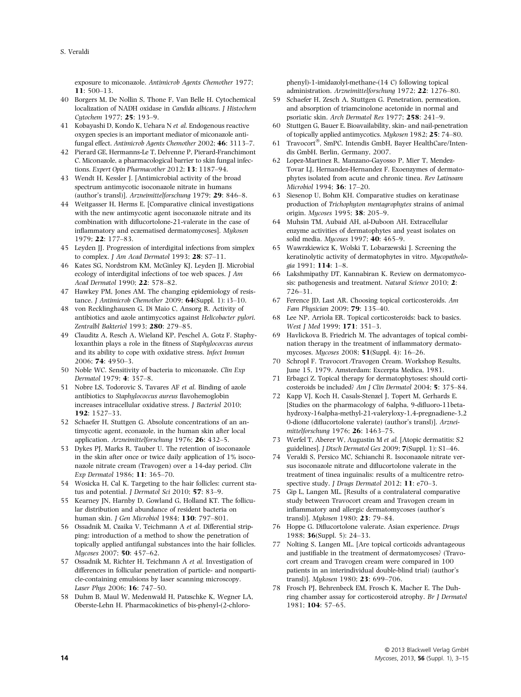exposure to miconazole. Antimicrob Agents Chemother 1977;  $11:500-13$ 

- 40 Borgers M, De Nollin S, Thone F, Van Belle H. Cytochemical localization of NADH oxidase in Candida albicans. J Histochem Cytochem 1977; 25: 193-9.
- 41 Kobayashi D, Kondo K, Uehara N et al. Endogenous reactive oxygen species is an important mediator of miconazole antifungal effect. Antimicrob Agents Chemother 2002; 46: 3113–7.
- 42 Pierard GE, Hermanns-Le T, Delvenne P, Pierard-Franchimont C. Miconazole, a pharmacological barrier to skin fungal infections. Expert Opin Pharmacother 2012; 13: 1187-94.
- 43 Wendt H, Kessler J. [Antimicrobial activity of the broad spectrum antimycotic isoconazole nitrate in humans (author's transl)]. Arzneimittelforschung 1979; 29: 846–8.
- 44 Weitgasser H, Herms E. [Comparative clinical investigations with the new antimycotic agent isoconazole nitrate and its combination with diflucortolone-21-valerate in the case of inflammatory and eczematised dermatomycoses]. Mykosen 1979; 22: 177–83.
- 45 Leyden JJ. Progression of interdigital infections from simplex to complex. J Am Acad Dermatol 1993; 28: S7-11.
- 46 Kates SG, Nordstrom KM, McGinley KJ, Leyden JJ. Microbial ecology of interdigital infections of toe web spaces. J Am Acad Dermatol 1990; 22: 578–82.
- 47 Hawkey PM, Jones AM. The changing epidemiology of resistance. *J Antimicrob Chemother 2009*; **64**(Suppl. 1): i3-10.
- 48 von Recklinghausen G, Di Maio C, Ansorg R. Activity of antibiotics and azole antimycotics against Helicobacter pylori. Zentralbl Bakteriol 1993; 280: 279–85.
- 49 Clauditz A, Resch A, Wieland KP, Peschel A, Gotz F. Staphyloxanthin plays a role in the fitness of Staphylococcus aureus and its ability to cope with oxidative stress. Infect Immun 2006; 74: 4950–3.
- 50 Noble WC. Sensitivity of bacteria to miconazole. Clin Exp Dermatol 1979; 4: 357–8.
- 51 Nobre LS, Todorovic S, Tavares AF et al. Binding of azole antibiotics to Staphylococcus aureus flavohemoglobin increases intracellular oxidative stress. J Bacteriol 2010; 192: 1527–33.
- 52 Schaefer H, Stuttgen G. Absolute concentrations of an antimycotic agent, econazole, in the human skin after local application. Arzneimittelforschung 1976; 26: 432–5.
- 53 Dykes PJ, Marks R, Tauber U. The retention of isoconazole in the skin after once or twice daily application of 1% isoconazole nitrate cream (Travogen) over a 14-day period. Clin Exp Dermatol 1986; 11: 365–70.
- 54 Wosicka H, Cal K. Targeting to the hair follicles: current status and potential. *J Dermatol Sci* 2010; 57: 83-9.
- 55 Kearney JN, Harnby D, Gowland G, Holland KT. The follicular distribution and abundance of resident bacteria on human skin. J Gen Microbiol 1984; 130: 797–801.
- 56 Ossadnik M, Czaika V, Teichmann A et al. Differential stripping: introduction of a method to show the penetration of topically applied antifungal substances into the hair follicles. Mycoses 2007; 50: 457–62.
- 57 Ossadnik M, Richter H, Teichmann A et al. Investigation of differences in follicular penetration of particle- and nonparticle-containing emulsions by laser scanning microscopy. Laser Phys 2006; 16: 747–50.
- 58 Duhm B, Maul W, Medenwald H, Patzschke K, Wegner LA, Oberste-Lehn H. Pharmacokinetics of bis-phenyl-(2-chloro-

phenyl)-1-imidazolyl-methane-(14 C) following topical administration. Arzneimittelforschung 1972; 22: 1276–80.

- 59 Schaefer H, Zesch A, Stuttgen G. Penetration, permeation, and absorption of triamcinolone acetonide in normal and psoriatic skin. Arch Dermatol Res 1977; 258: 241–9.
- 60 Stuttgen G, Bauer E. Bioavailability, skin- and nail-penetration of topically applied antimycotics. Mykosen 1982; 25: 74–80.
- 61 Travocort®, SmPC. Intendis GmbH, Bayer HealthCare/Intendis GmbH. Berlin, Germany, 2007.
- 62 Lopez-Martinez R, Manzano-Gayosso P, Mier T, Mendez-Tovar LJ, Hernandez-Hernandez F. Exoenzymes of dermatophytes isolated from acute and chronic tinea. Rev Latinoam Microbiol 1994; 36: 17–20.
- 63 Siesenop U, Bohm KH. Comparative studies on keratinase production of Trichophyton mentagrophytes strains of animal origin. Mycoses 1995; 38: 205–9.
- 64 Muhsin TM, Aubaid AH, al-Duboon AH. Extracellular enzyme activities of dermatophytes and yeast isolates on solid media. Mycoses 1997; 40: 465-9.
- 65 Wawrzkiewicz K, Wolski T, Lobarzewski J. Screening the keratinolytic activity of dermatophytes in vitro. Mycopathologia 1991; 114: 1–8.
- 66 Lakshmipathy DT, Kannabiran K. Review on dermatomycosis: pathogenesis and treatment. Natural Science 2010; 2: 726–31.
- 67 Ference JD, Last AR. Choosing topical corticosteroids. Am Fam Physician 2009; 79: 135–40.
- 68 Lee NP, Arriola ER. Topical corticosteroids: back to basics. West J Med 1999; 171: 351–3.
- 69 Havlickova B, Friedrich M. The advantages of topical combination therapy in the treatment of inflammatory dermatomycoses. Mycoses 2008; 51(Suppl. 4): 16–26.
- 70 Schropl F. Travocort ⁄Travogen Cream. Workshop Results, June 15, 1979. Amsterdam: Excerpta Medica, 1981.
- 71 Erbagci Z. Topical therapy for dermatophytoses: should corticosteroids be included? Am J Clin Dermatol 2004; 5: 375–84.
- 72 Kapp VJ, Koch H, Casals-Stenzel J, Topert M, Gerhards E. [Studies on the pharmacology of 6alpha, 9-difluoro-11betahydroxy-16alpha-methyl-21-valeryloxy-1,4-pregnadiene-3,2 0-dione (diflucortolone valerate) (author's transl)]. Arzneimittelforschung 1976; 26: 1463–75.
- 73 Werfel T, Aberer W, Augustin M et al. [Atopic dermatitis: S2 guidelines]. J Dtsch Dermatol Ges 2009; 7(Suppl. 1): S1–46.
- 74 Veraldi S, Persico MC, Schianchi R. Isoconazole nitrate versus isoconazole nitrate and diflucortolone valerate in the treatment of tinea inguinalis: results of a multicentre retrospective study. J Drugs Dermatol 2012; 11: e70-3.
- 75 Gip L, Langen ML. [Results of a contralateral comparative study between Travocort cream and Travogen cream in inflammatory and allergic dermatomycoses (author's transl)]. Mykosen 1980; 23: 79–84.
- 76 Hoppe G. Diflucortolone valerate. Asian experience. Drugs 1988; 36(Suppl. 5): 24–33.
- 77 Nolting S, Langen ML. [Are topical corticoids advantageous and justifiable in the treatment of dermatomycoses? (Travocort cream and Travogen cream were compared in 100 patients in an interindividual double-blind trial) (author's transl)]. Mykosen 1980; 23: 699–706.
- 78 Frosch PJ, Behrenbeck EM, Frosch K, Macher E. The Duhring chamber assay for corticosteroid atrophy. Br J Dermatol 1981; 104: 57–65.